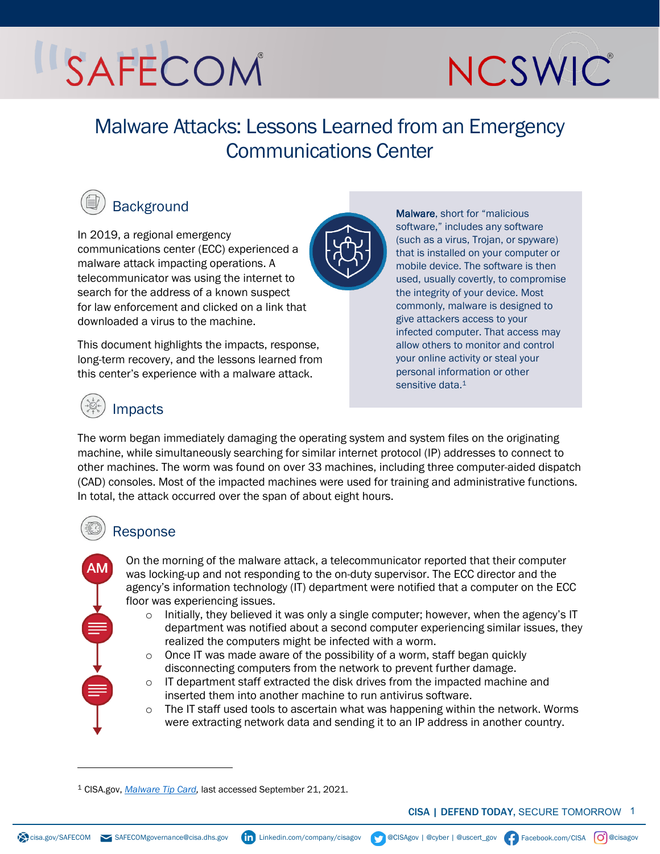# SAFECOM



## Malware Attacks: Lessons Learned from an Emergency Communications Center



## **Background**

In 2019, a regional emergency communications center (ECC) experienced a malware attack impacting operations. A telecommunicator was using the internet to search for the address of a known suspect for law enforcement and clicked on a link that downloaded a virus to the machine. [1](#page-0-0)

This document highlights the impacts, response, long-term recovery, and the lessons learned from this center's experience with a malware attack.

Malware, short for "malicious software," includes any software (such as a virus, Trojan, or spyware) that is installed on your computer or mobile device. The software is then used, usually covertly, to compromise the integrity of your device. Most commonly, malware is designed to give attackers access to your infected computer. That access may allow others to monitor and control your online activity or steal your personal information or other sensitive data.<sup>1</sup>

### Impacts

The worm began immediately damaging the operating system and system files on the originating machine, while simultaneously searching for similar internet protocol (IP) addresses to connect to other machines. The worm was found on over 33 machines, including three computer-aided dispatch (CAD) consoles. Most of the impacted machines were used for training and administrative functions. In total, the attack occurred over the span of about eight hours.

### Response

AM

On the morning of the malware attack, a telecommunicator reported that their computer was locking-up and not responding to the on-duty supervisor. The ECC director and the agency's information technology (IT) department were notified that a computer on the ECC floor was experiencing issues.

- $\circ$  Initially, they believed it was only a single computer; however, when the agency's IT department was notified about a second computer experiencing similar issues, they realized the computers might be infected with a worm.
- $\circ$  Once IT was made aware of the possibility of a worm, staff began quickly disconnecting computers from the network to prevent further damage.
- $\circ$  IT department staff extracted the disk drives from the impacted machine and inserted them into another machine to run antivirus software.
- $\circ$  The IT staff used tools to ascertain what was happening within the network. Worms were extracting network data and sending it to an IP address in another country.

$$
\sqrt{C} \mathsf{ISA} \quad \boxed{\mathbf{O}} \text{Qciss}
$$

<span id="page-0-0"></span><sup>1</sup> CISA.gov, *[Malware Tip Card,](https://www.cisa.gov/sites/default/files/publications/Malware_1.pdf)* last accessed September 21, 2021.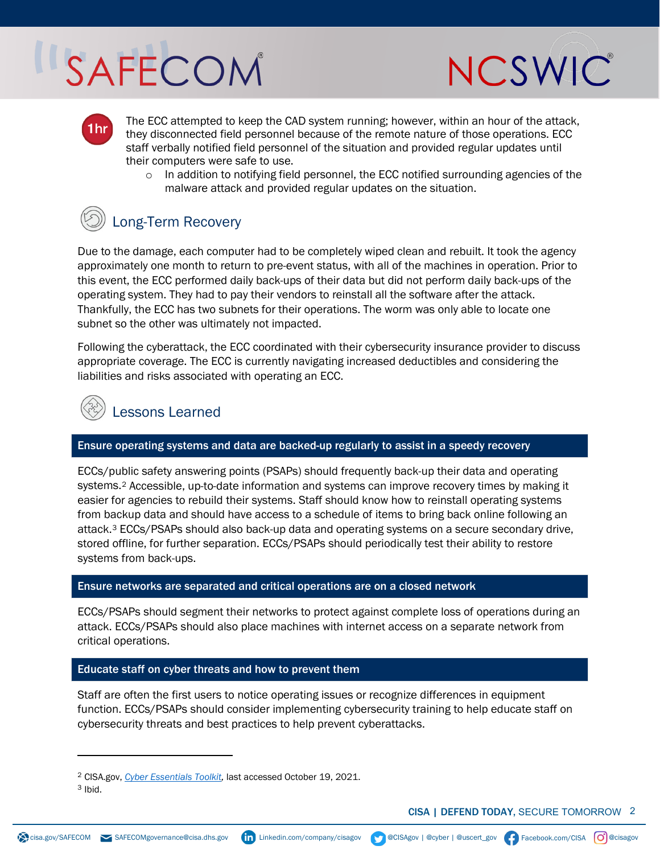# SAFECOM

 $1hr$ 



The ECC attempted to keep the CAD system running; however, within an hour of the attack, they disconnected field personnel because of the remote nature of those operations. ECC staff verbally notified field personnel of the situation and provided regular updates until their computers were safe to use.

 $\circ$  In addition to notifying field personnel, the ECC notified surrounding agencies of the malware attack and provided regular updates on the situation.

### Long-Term Recovery

Due to the damage, each computer had to be completely wiped clean and rebuilt. It took the agency approximately one month to return to pre-event status, with all of the machines in operation. Prior to this event, the ECC performed daily back-ups of their data but did not perform daily back-ups of the operating system. They had to pay their vendors to reinstall all the software after the attack. Thankfully, the ECC has two subnets for their operations. The worm was only able to locate one subnet so the other was ultimately not impacted.

Following the cyberattack, the ECC coordinated with their cybersecurity insurance provider to discuss appropriate coverage. The ECC is currently navigating increased deductibles and considering the liabilities and risks associated with operating an ECC.



#### Ensure operating systems and data are backed-up regularly to assist in a speedy recovery

ECCs/public safety answering points (PSAPs) should frequently back-up their data and operating systems.[2](#page-1-0) Accessible, up-to-date information and systems can improve recovery times by making it easier for agencies to rebuild their systems. Staff should know how to reinstall operating systems from backup data and should have access to a schedule of items to bring back online following an attack.[3](#page-1-1) ECCs/PSAPs should also back-up data and operating systems on a secure secondary drive, stored offline, for further separation. ECCs/PSAPs should periodically test their ability to restore systems from back-ups.

#### Ensure networks are separated and critical operations are on a closed network

ECCs/PSAPs should segment their networks to protect against complete loss of operations during an attack. ECCs/PSAPs should also place machines with internet access on a separate network from critical operations.

#### Educate staff on cyber threats and how to prevent them

Staff are often the first users to notice operating issues or recognize differences in equipment function. ECCs/PSAPs should consider implementing cybersecurity training to help educate staff on cybersecurity threats and best practices to help prevent cyberattacks.

<sup>2</sup> CISA.gov, *[Cyber Essentials Toolkit,](https://www.cisa.gov/sites/default/files/publications/Cyber%20Essentials%20Toolkit%205%2020201015_508.pdf)* last accessed October 19, 2021.

<span id="page-1-1"></span><span id="page-1-0"></span> $3$  Ibid.